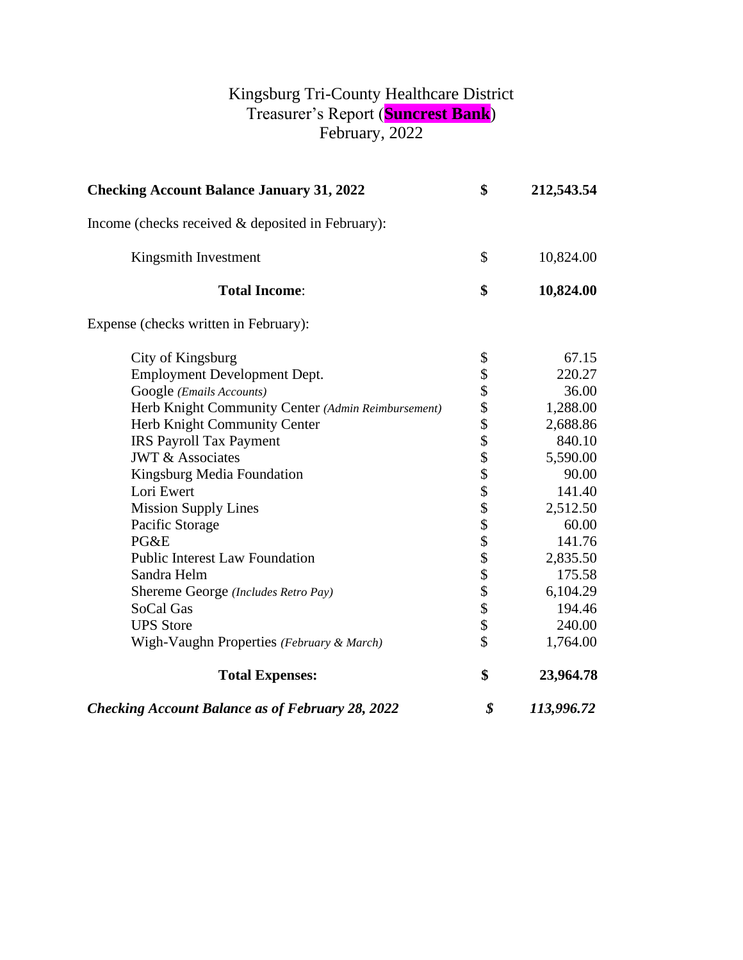## Kingsburg Tri-County Healthcare District Treasurer's Report (**Suncrest Bank**) February, 2022

| <b>Checking Account Balance January 31, 2022</b>        | \$<br>212,543.54 |
|---------------------------------------------------------|------------------|
| Income (checks received $&$ deposited in February):     |                  |
| Kingsmith Investment                                    | \$<br>10,824.00  |
| <b>Total Income:</b>                                    | \$<br>10,824.00  |
| Expense (checks written in February):                   |                  |
| City of Kingsburg                                       | \$<br>67.15      |
| Employment Development Dept.                            | 220.27           |
| Google (Emails Accounts)                                | 36.00            |
| Herb Knight Community Center (Admin Reimbursement)      | 1,288.00         |
| Herb Knight Community Center                            | 2,688.86         |
| <b>IRS Payroll Tax Payment</b>                          | 840.10           |
| <b>JWT &amp; Associates</b>                             | 5,590.00         |
| Kingsburg Media Foundation                              | 90.00            |
| Lori Ewert                                              | 141.40           |
| <b>Mission Supply Lines</b>                             | 2,512.50         |
| Pacific Storage                                         | 60.00            |
| PG&E                                                    | 141.76           |
| <b>Public Interest Law Foundation</b>                   | 2,835.50         |
| Sandra Helm                                             | 175.58           |
| Shereme George (Includes Retro Pay)                     | 6,104.29         |
| SoCal Gas                                               | 194.46           |
| <b>UPS</b> Store                                        | 240.00           |
| Wigh-Vaughn Properties (February & March)               | \$<br>1,764.00   |
| <b>Total Expenses:</b>                                  | \$<br>23,964.78  |
| <b>Checking Account Balance as of February 28, 2022</b> | \$<br>113,996.72 |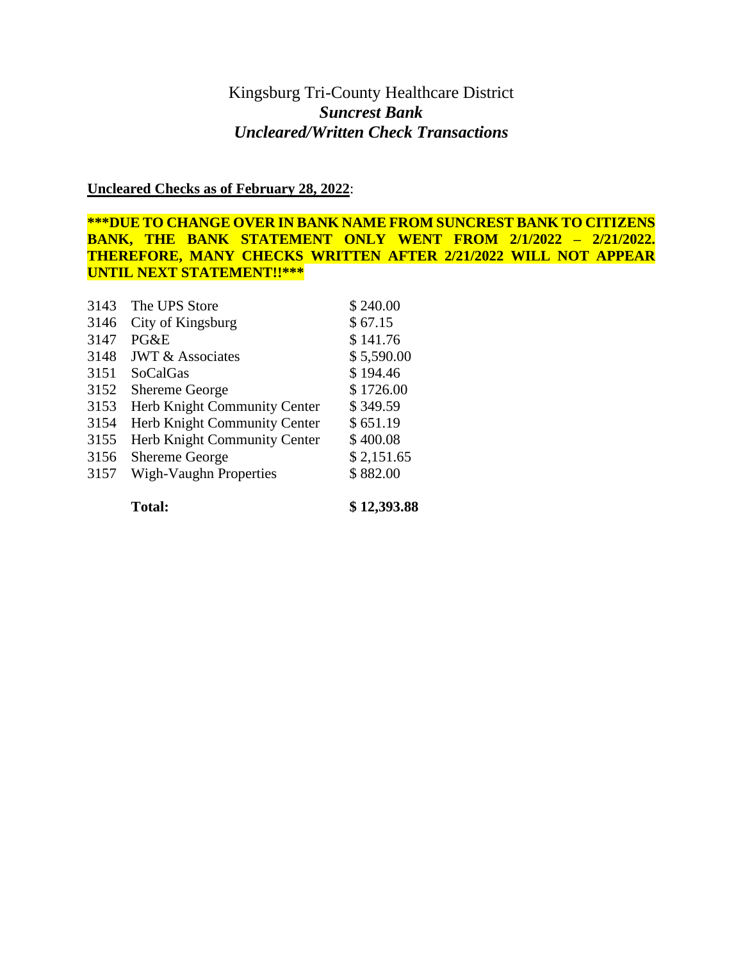## Kingsburg Tri-County Healthcare District *Suncrest Bank Uncleared/Written Check Transactions*

**Uncleared Checks as of February 28, 2022**:

**\*\*\*DUE TO CHANGE OVER IN BANK NAME FROM SUNCREST BANK TO CITIZENS BANK, THE BANK STATEMENT ONLY WENT FROM 2/1/2022 – 2/21/2022. THEREFORE, MANY CHECKS WRITTEN AFTER 2/21/2022 WILL NOT APPEAR UNTIL NEXT STATEMENT!!\*\*\***

| 3143 | The UPS Store                | \$240.00   |
|------|------------------------------|------------|
| 3146 | City of Kingsburg            | \$67.15    |
| 3147 | $P G \& E$                   | \$141.76   |
| 3148 | <b>JWT &amp; Associates</b>  | \$5,590.00 |
| 3151 | <b>SoCalGas</b>              | \$194.46   |
| 3152 | <b>Shereme George</b>        | \$1726.00  |
| 3153 | Herb Knight Community Center | \$349.59   |
| 3154 | Herb Knight Community Center | \$651.19   |
| 3155 | Herb Knight Community Center | \$400.08   |
| 3156 | Shereme George               | \$2,151.65 |
| 3157 | Wigh-Vaughn Properties       | \$882.00   |
|      |                              |            |

**Total: \$ 12,393.88**